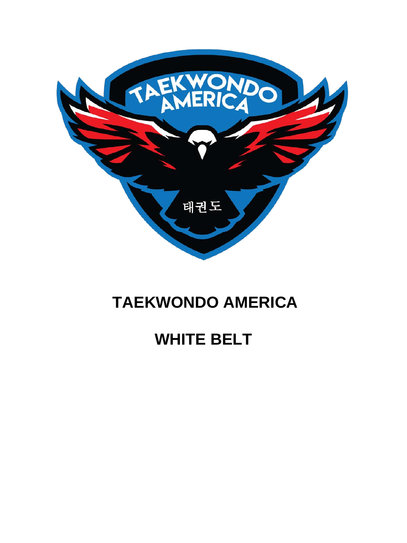

## **TAEKWONDO AMERICA**

## **WHITE BELT**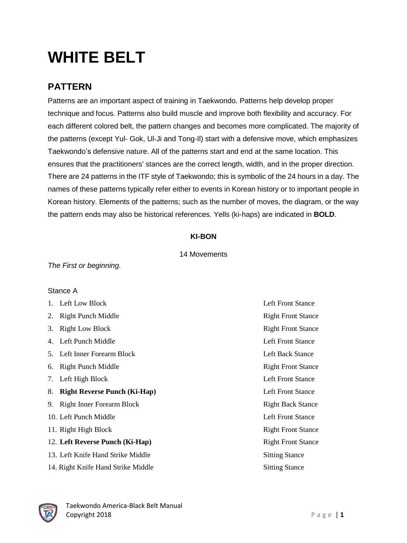# **WHITE BELT**

### **PATTERN**

Patterns are an important aspect of training in Taekwondo. Patterns help develop proper technique and focus. Patterns also build muscle and improve both flexibility and accuracy. For each different colored belt, the pattern changes and becomes more complicated. The majority of the patterns (except Yul- Gok, Ul-Ji and Tong-Il) start with a defensive move, which emphasizes Taekwondo's defensive nature. All of the patterns start and end at the same location. This ensures that the practitioners' stances are the correct length, width, and in the proper direction. There are 24 patterns in the ITF style of Taekwondo; this is symbolic of the 24 hours in a day. The names of these patterns typically refer either to events in Korean history or to important people in Korean history. Elements of the patterns; such as the number of moves, the diagram, or the way the pattern ends may also be historical references. Yells (ki-haps) are indicated in **BOLD**.

#### **KI-BON**

#### 14 Movements

*The First or beginning.*

#### Stance A

1. Left Low Block **Left Example 2.** Left Front Stance 2. Right Punch Middle Right Front Stance 3. Right Low Block Right Front Stance 4. Left Punch Middle Left Front Stance 5. Left Inner Forearm Block Left Back Stance 6. Right Punch Middle Right Front Stance 7. Left High Block Left Front Stance 8. **Right Reverse Punch (Ki-Hap)** Left Front Stance 9. Right Inner Forearm Block Right Back Stance 10. Left Punch Middle Left Front Stance 11. Right High Block Right Front Stance 12. **Left Reverse Punch (Ki-Hap)** Right Front Stance 13. Left Knife Hand Strike Middle Sitting Stance 14. Right Knife Hand Strike Middle Sitting Stance

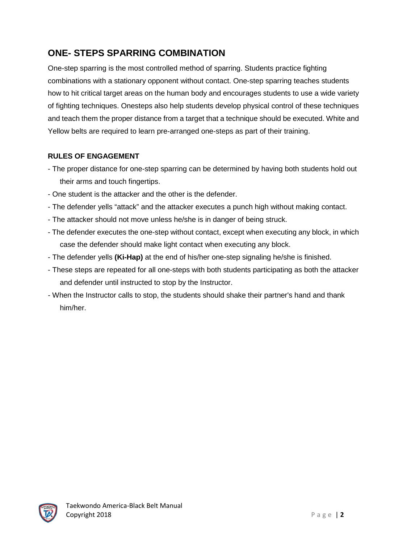## **ONE- STEPS SPARRING COMBINATION**

One-step sparring is the most controlled method of sparring. Students practice fighting combinations with a stationary opponent without contact. One-step sparring teaches students how to hit critical target areas on the human body and encourages students to use a wide variety of fighting techniques. Onesteps also help students develop physical control of these techniques and teach them the proper distance from a target that a technique should be executed. White and Yellow belts are required to learn pre-arranged one-steps as part of their training.

#### **RULES OF ENGAGEMENT**

- The proper distance for one-step sparring can be determined by having both students hold out their arms and touch fingertips.
- One student is the attacker and the other is the defender.
- The defender yells "attack" and the attacker executes a punch high without making contact.
- The attacker should not move unless he/she is in danger of being struck.
- The defender executes the one-step without contact, except when executing any block, in which case the defender should make light contact when executing any block.
- The defender yells **(Ki-Hap)** at the end of his/her one-step signaling he/she is finished.
- These steps are repeated for all one-steps with both students participating as both the attacker and defender until instructed to stop by the Instructor.
- When the Instructor calls to stop, the students should shake their partner's hand and thank him/her.